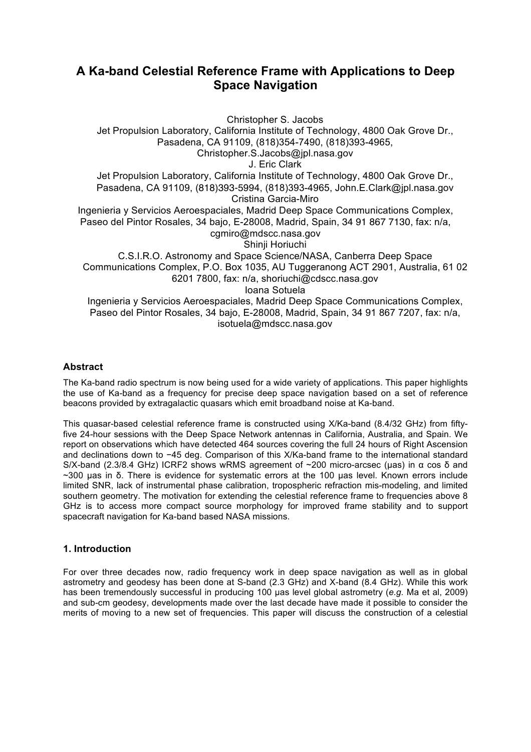# **A Ka-band Celestial Reference Frame with Applications to Deep Space Navigation**

Christopher S. Jacobs Jet Propulsion Laboratory, California Institute of Technology, 4800 Oak Grove Dr., Pasadena, CA 91109, (818)354-7490, (818)393-4965, Christopher.S.Jacobs@jpl.nasa.gov J. Eric Clark Jet Propulsion Laboratory, California Institute of Technology, 4800 Oak Grove Dr., Pasadena, CA 91109, (818)393-5994, (818)393-4965, John.E.Clark@jpl.nasa.gov Cristina Garcia-Miro Ingenieria y Servicios Aeroespaciales, Madrid Deep Space Communications Complex, Paseo del Pintor Rosales, 34 bajo, E-28008, Madrid, Spain, 34 91 867 7130, fax: n/a, cgmiro@mdscc.nasa.gov Shinji Horiuchi C.S.I.R.O. Astronomy and Space Science/NASA, Canberra Deep Space Communications Complex, P.O. Box 1035, AU Tuggeranong ACT 2901, Australia, 61 02 6201 7800, fax: n/a, shoriuchi@cdscc.nasa.gov Ioana Sotuela Ingenieria y Servicios Aeroespaciales, Madrid Deep Space Communications Complex, Paseo del Pintor Rosales, 34 bajo, E-28008, Madrid, Spain, 34 91 867 7207, fax: n/a, isotuela@mdscc.nasa.gov

# **Abstract**

The Ka-band radio spectrum is now being used for a wide variety of applications. This paper highlights the use of Ka-band as a frequency for precise deep space navigation based on a set of reference beacons provided by extragalactic quasars which emit broadband noise at Ka-band.

This quasar-based celestial reference frame is constructed using X/Ka-band (8.4/32 GHz) from fiftyfive 24-hour sessions with the Deep Space Network antennas in California, Australia, and Spain. We report on observations which have detected 464 sources covering the full 24 hours of Right Ascension and declinations down to −45 deg. Comparison of this X/Ka-band frame to the international standard S/X-band (2.3/8.4 GHz) ICRF2 shows wRMS agreement of ~200 micro-arcsec (μas) in α cos δ and ~300 µas in δ. There is evidence for systematic errors at the 100 µas level. Known errors include limited SNR, lack of instrumental phase calibration, tropospheric refraction mis-modeling, and limited southern geometry. The motivation for extending the celestial reference frame to frequencies above 8 GHz is to access more compact source morphology for improved frame stability and to support spacecraft navigation for Ka-band based NASA missions.

# **1. Introduction**

For over three decades now, radio frequency work in deep space navigation as well as in global astrometry and geodesy has been done at S-band (2.3 GHz) and X-band (8.4 GHz). While this work has been tremendously successful in producing 100 µas level global astrometry (*e.g.* Ma et al, 2009) and sub-cm geodesy, developments made over the last decade have made it possible to consider the merits of moving to a new set of frequencies. This paper will discuss the construction of a celestial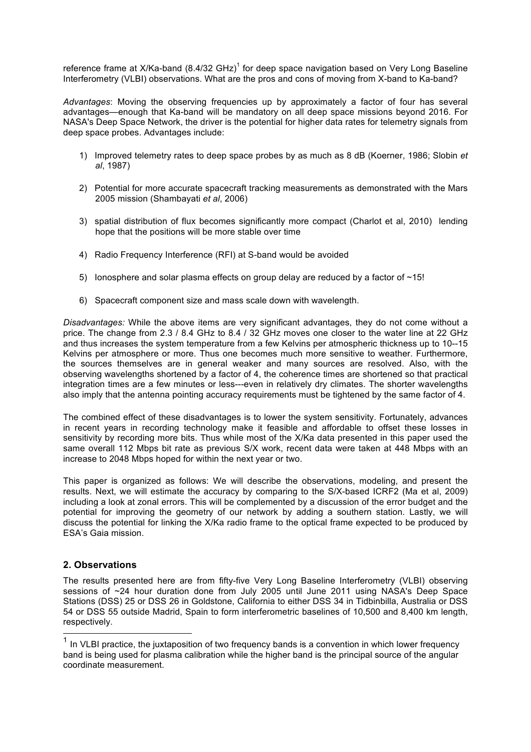reference frame at  $X/Ka$ -band (8.4/32 GHz)<sup>1</sup> for deep space navigation based on Very Long Baseline Interferometry (VLBI) observations. What are the pros and cons of moving from X-band to Ka-band?

*Advantages*: Moving the observing frequencies up by approximately a factor of four has several advantages—enough that Ka-band will be mandatory on all deep space missions beyond 2016. For NASA's Deep Space Network, the driver is the potential for higher data rates for telemetry signals from deep space probes. Advantages include:

- 1) Improved telemetry rates to deep space probes by as much as 8 dB (Koerner, 1986; Slobin *et al*, 1987)
- 2) Potential for more accurate spacecraft tracking measurements as demonstrated with the Mars 2005 mission (Shambayati *et al*, 2006)
- 3) spatial distribution of flux becomes significantly more compact (Charlot et al, 2010) lending hope that the positions will be more stable over time
- 4) Radio Frequency Interference (RFI) at S-band would be avoided
- 5) Ionosphere and solar plasma effects on group delay are reduced by a factor of ~15!
- 6) Spacecraft component size and mass scale down with wavelength.

*Disadvantages:* While the above items are very significant advantages, they do not come without a price. The change from 2.3 / 8.4 GHz to 8.4 / 32 GHz moves one closer to the water line at 22 GHz and thus increases the system temperature from a few Kelvins per atmospheric thickness up to 10--15 Kelvins per atmosphere or more. Thus one becomes much more sensitive to weather. Furthermore, the sources themselves are in general weaker and many sources are resolved. Also, with the observing wavelengths shortened by a factor of 4, the coherence times are shortened so that practical integration times are a few minutes or less---even in relatively dry climates. The shorter wavelengths also imply that the antenna pointing accuracy requirements must be tightened by the same factor of 4.

The combined effect of these disadvantages is to lower the system sensitivity. Fortunately, advances in recent years in recording technology make it feasible and affordable to offset these losses in sensitivity by recording more bits. Thus while most of the X/Ka data presented in this paper used the same overall 112 Mbps bit rate as previous S/X work, recent data were taken at 448 Mbps with an increase to 2048 Mbps hoped for within the next year or two.

This paper is organized as follows: We will describe the observations, modeling, and present the results. Next, we will estimate the accuracy by comparing to the S/X-based ICRF2 (Ma et al, 2009) including a look at zonal errors. This will be complemented by a discussion of the error budget and the potential for improving the geometry of our network by adding a southern station. Lastly, we will discuss the potential for linking the X/Ka radio frame to the optical frame expected to be produced by ESA's Gaia mission.

### **2. Observations**

The results presented here are from fifty-five Very Long Baseline Interferometry (VLBI) observing sessions of ~24 hour duration done from July 2005 until June 2011 using NASA's Deep Space Stations (DSS) 25 or DSS 26 in Goldstone, California to either DSS 34 in Tidbinbilla, Australia or DSS 54 or DSS 55 outside Madrid, Spain to form interferometric baselines of 10,500 and 8,400 km length, respectively.

 $1$  In VLBI practice, the juxtaposition of two frequency bands is a convention in which lower frequency band is being used for plasma calibration while the higher band is the principal source of the angular coordinate measurement.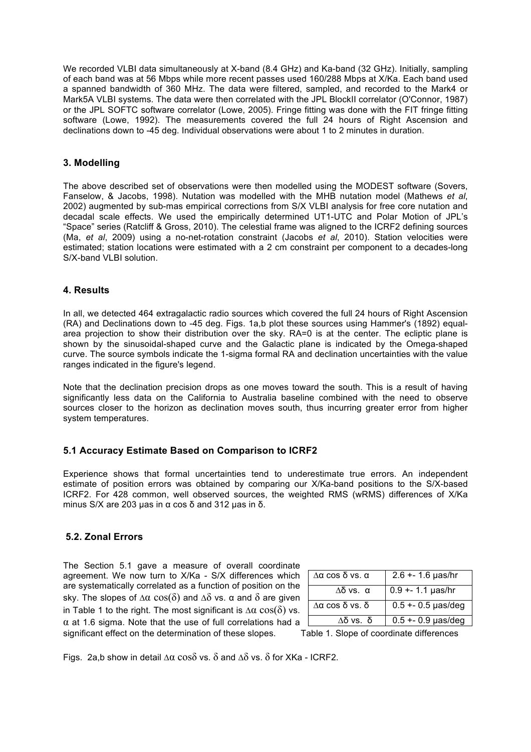We recorded VLBI data simultaneously at X-band (8.4 GHz) and Ka-band (32 GHz). Initially, sampling of each band was at 56 Mbps while more recent passes used 160/288 Mbps at X/Ka. Each band used a spanned bandwidth of 360 MHz. The data were filtered, sampled, and recorded to the Mark4 or Mark5A VLBI systems. The data were then correlated with the JPL BlockII correlator (O'Connor, 1987) or the JPL SOFTC software correlator (Lowe, 2005). Fringe fitting was done with the FIT fringe fitting software (Lowe, 1992). The measurements covered the full 24 hours of Right Ascension and declinations down to -45 deg. Individual observations were about 1 to 2 minutes in duration.

### **3. Modelling**

The above described set of observations were then modelled using the MODEST software (Sovers, Fanselow, & Jacobs, 1998). Nutation was modelled with the MHB nutation model (Mathews *et al*, 2002) augmented by sub-mas empirical corrections from S/X VLBI analysis for free core nutation and decadal scale effects. We used the empirically determined UT1-UTC and Polar Motion of JPL's "Space" series (Ratcliff & Gross, 2010). The celestial frame was aligned to the ICRF2 defining sources (Ma, *et al*, 2009) using a no-net-rotation constraint (Jacobs *et al*, 2010). Station velocities were estimated; station locations were estimated with a 2 cm constraint per component to a decades-long S/X-band VLBI solution.

#### **4. Results**

In all, we detected 464 extragalactic radio sources which covered the full 24 hours of Right Ascension (RA) and Declinations down to -45 deg. Figs. 1a,b plot these sources using Hammer's (1892) equalarea projection to show their distribution over the sky. RA=0 is at the center. The ecliptic plane is shown by the sinusoidal-shaped curve and the Galactic plane is indicated by the Omega-shaped curve. The source symbols indicate the 1-sigma formal RA and declination uncertainties with the value ranges indicated in the figure's legend.

Note that the declination precision drops as one moves toward the south. This is a result of having significantly less data on the California to Australia baseline combined with the need to observe sources closer to the horizon as declination moves south, thus incurring greater error from higher system temperatures.

#### **5.1 Accuracy Estimate Based on Comparison to ICRF2**

Experience shows that formal uncertainties tend to underestimate true errors. An independent estimate of position errors was obtained by comparing our X/Ka-band positions to the S/X-based ICRF2. For 428 common, well observed sources, the weighted RMS (wRMS) differences of X/Ka minus S/X are 203 µas in α cos δ and 312 µas in δ.

#### **5.2. Zonal Errors**

The Section 5.1 gave a measure of overall coordinate agreement. We now turn to X/Ka - S/X differences which are systematically correlated as a function of position on the sky. The slopes of  $\Delta\alpha$  cos( $\delta$ ) and  $\Delta\delta$  vs. α and  $\delta$  are given in Table 1 to the right. The most significant is  $\Delta \alpha \cos(\delta)$  vs.  $\alpha$  at 1.6 sigma. Note that the use of full correlations had a significant effect on the determination of these slopes. Table 1. Slope of coordinate differences

| Λα cos δ vs. α          | $2.6 + 1.6$ µas/hr  |  |
|-------------------------|---------------------|--|
| $Δδ$ vs. α              | $0.9 + 1.1$ µas/hr  |  |
| $\Lambda$ α cos δ vs. δ | $0.5 + 0.5$ µas/deg |  |
| Δδνs. δ                 | $0.5 + 0.9$ µas/deg |  |

Figs. 2a,b show in detail  $\Delta \alpha \cos \delta$  vs.  $\delta$  and  $\Delta \delta$  vs.  $\delta$  for XKa - ICRF2.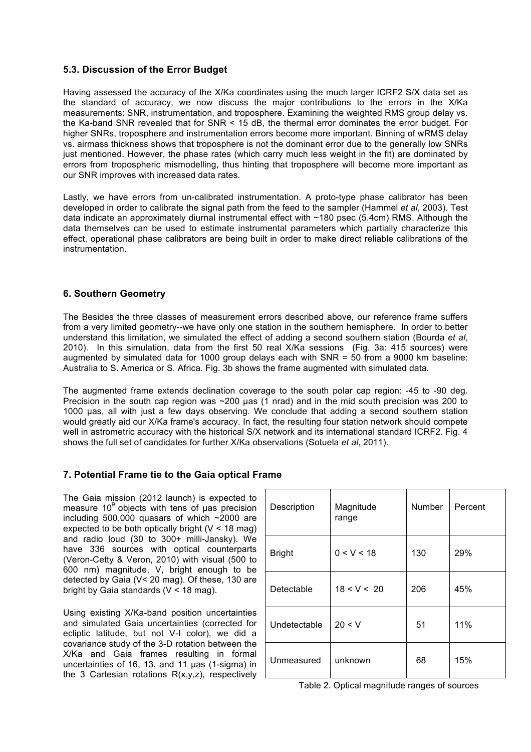## **5.3. Discussion of the Error Budget**

Having assessed the accuracy of the X/Ka coordinates using the much larger ICRF2 S/X data set as the standard of accuracy, we now discuss the major contributions to the errors in the X/Ka measurements: SNR, instrumentation, and troposphere. Examining the weighted RMS group delay vs. the Ka-band SNR revealed that for SNR < 15 dB, the thermal error dominates the error budget. For higher SNRs, troposphere and instrumentation errors become more important. Binning of wRMS delay vs. airmass thickness shows that troposphere is not the dominant error due to the generally low SNRs just mentioned. However, the phase rates (which carry much less weight in the fit) are dominated by errors from tropospheric mismodelling, thus hinting that troposphere will become more important as our SNR improves with increased data rates.

Lastly, we have errors from un-calibrated instrumentation. A proto-type phase calibrator has been developed in order to calibrate the signal path from the feed to the sampler (Hammel *et al*, 2003). Test data indicate an approximately diurnal instrumental effect with ~180 psec (5.4cm) RMS. Although the data themselves can be used to estimate instrumental parameters which partially characterize this effect, operational phase calibrators are being built in order to make direct reliable calibrations of the instrumentation.

## **6. Southern Geometry**

The Besides the three classes of measurement errors described above, our reference frame suffers from a very limited geometry--we have only one station in the southern hemisphere. In order to better understand this limitation, we simulated the effect of adding a second southern station (Bourda *et al*, 2010). In this simulation, data from the first 50 real X/Ka sessions (Fig. 3a: 415 sources) were augmented by simulated data for 1000 group delays each with SNR = 50 from a 9000 km baseline: Australia to S. America or S. Africa. Fig. 3b shows the frame augmented with simulated data.

The augmented frame extends declination coverage to the south polar cap region: -45 to -90 deg. Precision in the south cap region was ~200 µas (1 nrad) and in the mid south precision was 200 to 1000 µas, all with just a few days observing. We conclude that adding a second southern station would greatly aid our X/Ka frame's accuracy. In fact, the resulting four station network should compete well in astrometric accuracy with the historical S/X network and its international standard ICRF2. Fig. 4 shows the full set of candidates for further X/Ka observations (Sotuela *et al*, 2011).

# **7. Potential Frame tie to the Gaia optical Frame**

The Gaia mission (2012 launch) is expected to measure  $10<sup>9</sup>$  objects with tens of uas precision including 500,000 quasars of which ~2000 are expected to be both optically bright  $(V < 18$  mag) and radio loud (30 to 300+ milli-Jansky). We have 336 sources with optical counterparts (Veron-Cetty & Veron, 2010) with visual (500 to 600 nm) magnitude, V, bright enough to be detected by Gaia (V< 20 mag). Of these, 130 are bright by Gaia standards (V < 18 mag).

Using existing X/Ka-band position uncertainties and simulated Gaia uncertainties (corrected for ecliptic latitude, but not V-I color), we did a covariance study of the 3-D rotation between the X/Ka and Gaia frames resulting in formal uncertainties of 16, 13, and 11 µas (1-sigma) in the 3 Cartesian rotations  $R(x,y,z)$ , respectively

| Description   | Magnitude<br>range | Number | Percent |
|---------------|--------------------|--------|---------|
| <b>Bright</b> | 0 < V < 18         | 130    | 29%     |
| Detectable    | 18 < V < 20        | 206    | 45%     |
| Undetectable  | 20 < V             | 51     | 11%     |
| Unmeasured    | unknown            | 68     | 15%     |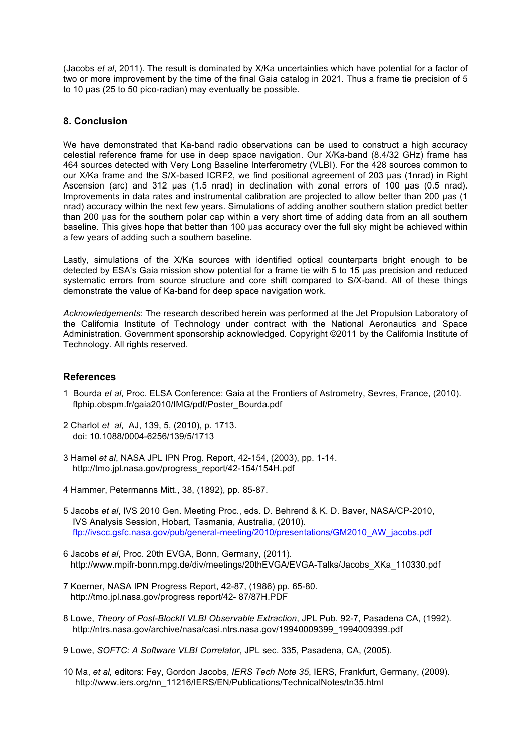(Jacobs *et al*, 2011). The result is dominated by X/Ka uncertainties which have potential for a factor of two or more improvement by the time of the final Gaia catalog in 2021. Thus a frame tie precision of 5 to 10 µas (25 to 50 pico-radian) may eventually be possible.

## **8. Conclusion**

We have demonstrated that Ka-band radio observations can be used to construct a high accuracy celestial reference frame for use in deep space navigation. Our X/Ka-band (8.4/32 GHz) frame has 464 sources detected with Very Long Baseline Interferometry (VLBI). For the 428 sources common to our X/Ka frame and the S/X-based ICRF2, we find positional agreement of 203 µas (1nrad) in Right Ascension (arc) and 312 µas (1.5 nrad) in declination with zonal errors of 100 µas (0.5 nrad). Improvements in data rates and instrumental calibration are projected to allow better than 200 uas (1) nrad) accuracy within the next few years. Simulations of adding another southern station predict better than 200 µas for the southern polar cap within a very short time of adding data from an all southern baseline. This gives hope that better than 100 µas accuracy over the full sky might be achieved within a few years of adding such a southern baseline.

Lastly, simulations of the X/Ka sources with identified optical counterparts bright enough to be detected by ESA's Gaia mission show potential for a frame tie with 5 to 15 µas precision and reduced systematic errors from source structure and core shift compared to S/X-band. All of these things demonstrate the value of Ka-band for deep space navigation work.

*Acknowledgements*: The research described herein was performed at the Jet Propulsion Laboratory of the California Institute of Technology under contract with the National Aeronautics and Space Administration. Government sponsorship acknowledged. Copyright ©2011 by the California Institute of Technology. All rights reserved.

#### **References**

- 1 Bourda *et al*, Proc. ELSA Conference: Gaia at the Frontiers of Astrometry, Sevres, France, (2010). ftphip.obspm.fr/gaia2010/IMG/pdf/Poster\_Bourda.pdf
- 2 Charlot *et al*, AJ, 139, 5, (2010), p. 1713. doi: 10.1088/0004-6256/139/5/1713
- 3 Hamel *et al*, NASA JPL IPN Prog. Report, 42-154, (2003), pp. 1-14. http://tmo.jpl.nasa.gov/progress\_report/42-154/154H.pdf
- 4 Hammer, Petermanns Mitt., 38, (1892), pp. 85-87.
- 5 Jacobs *et al*, IVS 2010 Gen. Meeting Proc., eds. D. Behrend & K. D. Baver, NASA/CP-2010, IVS Analysis Session, Hobart, Tasmania, Australia, (2010). ftp://ivscc.gsfc.nasa.gov/pub/general-meeting/2010/presentations/GM2010\_AW\_jacobs.pdf
- 6 Jacobs *et al*, Proc. 20th EVGA, Bonn, Germany, (2011). http://www.mpifr-bonn.mpg.de/div/meetings/20thEVGA/EVGA-Talks/Jacobs\_XKa\_110330.pdf
- 7 Koerner, NASA IPN Progress Report, 42-87, (1986) pp. 65-80. http://tmo.jpl.nasa.gov/progress report/42- 87/87H.PDF
- 8 Lowe, *Theory of Post-BlockII VLBI Observable Extraction*, JPL Pub. 92-7, Pasadena CA, (1992). http://ntrs.nasa.gov/archive/nasa/casi.ntrs.nasa.gov/19940009399\_1994009399.pdf
- 9 Lowe, *SOFTC: A Software VLBI Correlator*, JPL sec. 335, Pasadena, CA, (2005).
- 10 Ma, *et al,* editors: Fey, Gordon Jacobs, *IERS Tech Note 35*, IERS, Frankfurt, Germany, (2009). http://www.iers.org/nn\_11216/IERS/EN/Publications/TechnicalNotes/tn35.html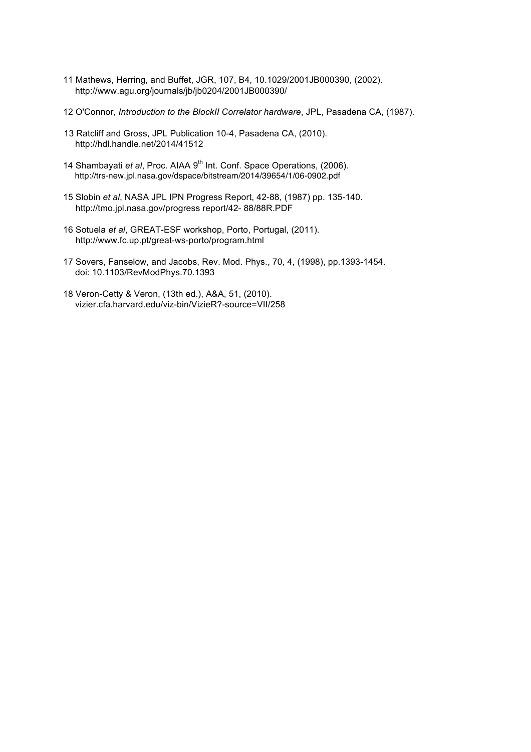- 11 Mathews, Herring, and Buffet, JGR, 107, B4, 10.1029/2001JB000390, (2002). http://www.agu.org/journals/jb/jb0204/2001JB000390/
- 12 O'Connor, *Introduction to the BlockII Correlator hardware*, JPL, Pasadena CA, (1987).
- 13 Ratcliff and Gross, JPL Publication 10-4, Pasadena CA, (2010). http://hdl.handle.net/2014/41512
- 14 Shambayati et al, Proc. AIAA 9<sup>th</sup> Int. Conf. Space Operations, (2006). http://trs-new.jpl.nasa.gov/dspace/bitstream/2014/39654/1/06-0902.pdf
- 15 Slobin *et al*, NASA JPL IPN Progress Report, 42-88, (1987) pp. 135-140. http://tmo.jpl.nasa.gov/progress report/42- 88/88R.PDF
- 16 Sotuela *et al*, GREAT-ESF workshop, Porto, Portugal, (2011). http://www.fc.up.pt/great-ws-porto/program.html
- 17 Sovers, Fanselow, and Jacobs, Rev. Mod. Phys., 70, 4, (1998), pp.1393-1454. doi: 10.1103/RevModPhys.70.1393
- 18 Veron-Cetty & Veron, (13th ed.), A&A, 51, (2010). vizier.cfa.harvard.edu/viz-bin/VizieR?-source=VII/258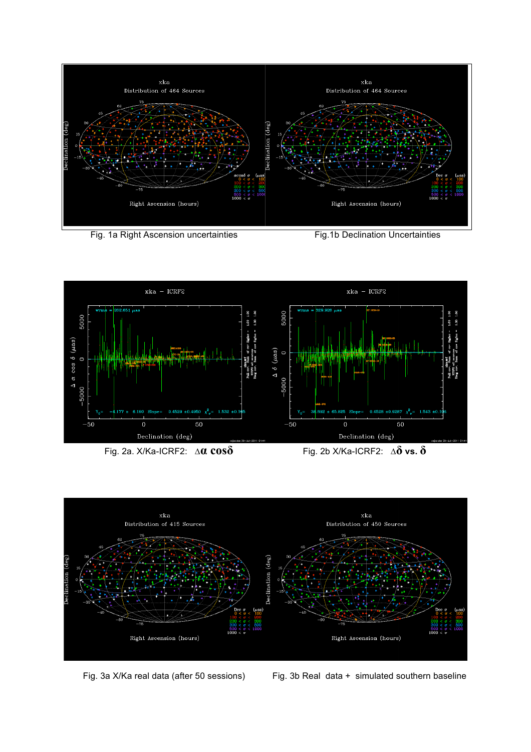

Fig. 1a Right Ascension uncertainties Fig.1b Declination Uncertainties





Fig. 3a X/Ka real data (after 50 sessions) Fig. 3b Real data + simulated southern baseline